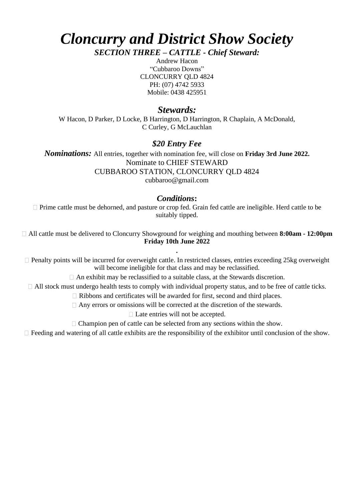# *Cloncurry and District Show Society SECTION THREE – CATTLE - Chief Steward:*

Andrew Hacon "Cubbaroo Downs" CLONCURRY QLD 4824 PH: (07) 4742 5933 Mobile: 0438 425951

# *Stewards:*

W Hacon, D Parker, D Locke, B Harrington, D Harrington, R Chaplain, A McDonald, C Curley, G McLauchlan

## *\$20 Entry Fee*

*Nominations:* All entries, together with nomination fee, will close on **Friday 3rd June 2022.** Nominate to CHIEF STEWARD CUBBAROO STATION, CLONCURRY QLD 4824 cubbaroo@gmail.com

### *Conditions***:**

 $\Box$  Prime cattle must be dehorned, and pasture or crop fed. Grain fed cattle are ineligible. Herd cattle to be suitably tipped.

All cattle must be delivered to Cloncurry Showground for weighing and mouthing between **8:00am - 12:00pm Friday 10th June 2022**

Penalty points will be incurred for overweight cattle. In restricted classes, entries exceeding 25kg overweight will become ineligible for that class and may be reclassified.

**.**

 $\Box$  An exhibit may be reclassified to a suitable class, at the Stewards discretion.

All stock must undergo health tests to comply with individual property status, and to be free of cattle ticks.

Ribbons and certificates will be awarded for first, second and third places.

 $\Box$  Any errors or omissions will be corrected at the discretion of the stewards.

□ Late entries will not be accepted.

 $\Box$  Champion pen of cattle can be selected from any sections within the show.

 $\Box$  Feeding and watering of all cattle exhibits are the responsibility of the exhibitor until conclusion of the show.